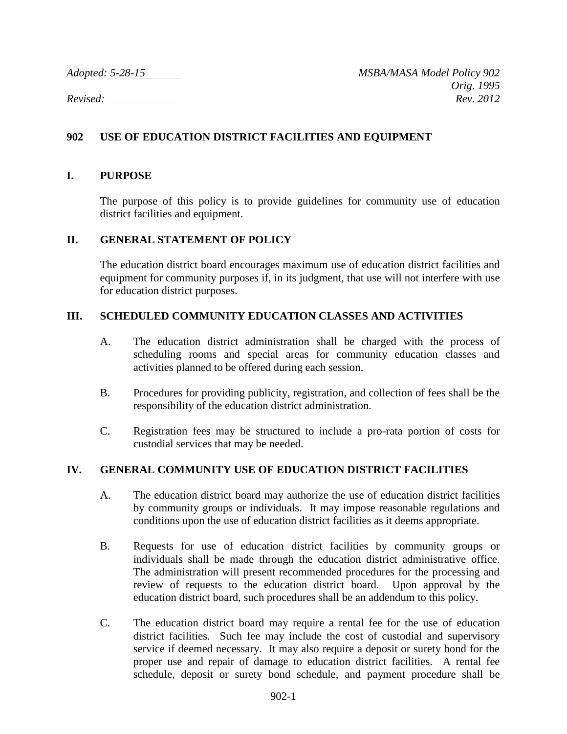*Adopted: 5-28-15 MSBA/MASA Model Policy 902 Orig. 1995 Revised: Rev. 2012*

# **902 USE OF EDUCATION DISTRICT FACILITIES AND EQUIPMENT**

### **I. PURPOSE**

The purpose of this policy is to provide guidelines for community use of education district facilities and equipment.

### **II. GENERAL STATEMENT OF POLICY**

The education district board encourages maximum use of education district facilities and equipment for community purposes if, in its judgment, that use will not interfere with use for education district purposes.

# **III. SCHEDULED COMMUNITY EDUCATION CLASSES AND ACTIVITIES**

- A. The education district administration shall be charged with the process of scheduling rooms and special areas for community education classes and activities planned to be offered during each session.
- B. Procedures for providing publicity, registration, and collection of fees shall be the responsibility of the education district administration.
- C. Registration fees may be structured to include a pro-rata portion of costs for custodial services that may be needed.

### **IV. GENERAL COMMUNITY USE OF EDUCATION DISTRICT FACILITIES**

- A. The education district board may authorize the use of education district facilities by community groups or individuals. It may impose reasonable regulations and conditions upon the use of education district facilities as it deems appropriate.
- B. Requests for use of education district facilities by community groups or individuals shall be made through the education district administrative office. The administration will present recommended procedures for the processing and review of requests to the education district board. Upon approval by the education district board, such procedures shall be an addendum to this policy.
- C. The education district board may require a rental fee for the use of education district facilities. Such fee may include the cost of custodial and supervisory service if deemed necessary. It may also require a deposit or surety bond for the proper use and repair of damage to education district facilities. A rental fee schedule, deposit or surety bond schedule, and payment procedure shall be